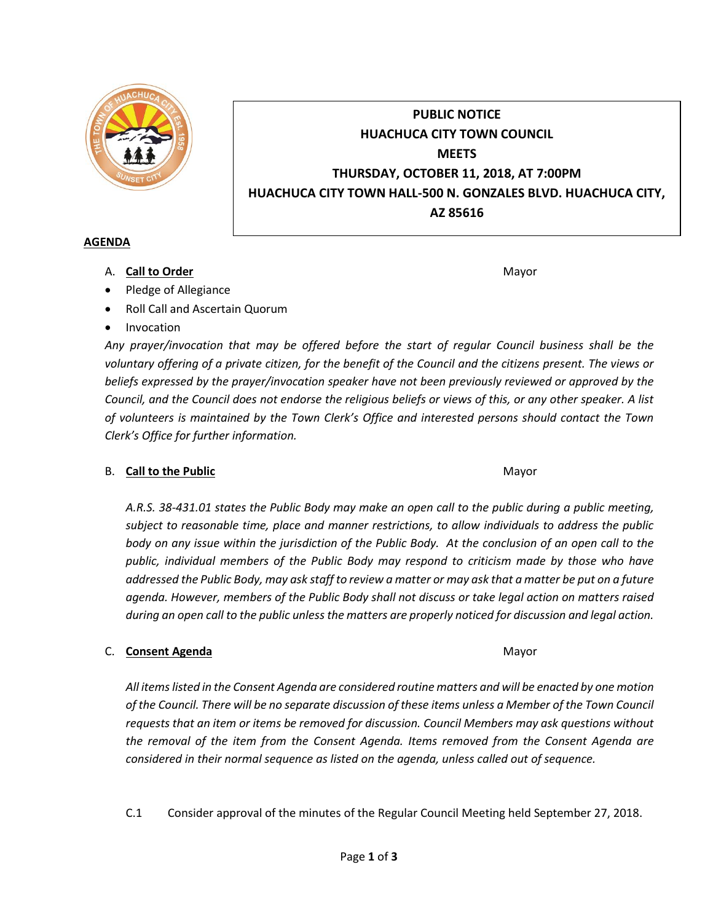

# **PUBLIC NOTICE HUACHUCA CITY TOWN COUNCIL MEETS THURSDAY, OCTOBER 11, 2018, AT 7:00PM HUACHUCA CITY TOWN HALL-500 N. GONZALES BLVD. HUACHUCA CITY, AZ 85616**

#### **AGENDA**

A. **Call to Order** Mayor **Mayor** Mayor **Mayor** Mayor **Mayor** 

- Pledge of Allegiance
- Roll Call and Ascertain Quorum
- Invocation

*Any prayer/invocation that may be offered before the start of regular Council business shall be the voluntary offering of a private citizen, for the benefit of the Council and the citizens present. The views or beliefs expressed by the prayer/invocation speaker have not been previously reviewed or approved by the Council, and the Council does not endorse the religious beliefs or views of this, or any other speaker. A list of volunteers is maintained by the Town Clerk's Office and interested persons should contact the Town Clerk's Office for further information.*

#### B. **Call to the Public** Mayor **Mayor** Mayor **Mayor** Mayor

*A.R.S. 38-431.01 states the Public Body may make an open call to the public during a public meeting, subject to reasonable time, place and manner restrictions, to allow individuals to address the public body on any issue within the jurisdiction of the Public Body. At the conclusion of an open call to the public, individual members of the Public Body may respond to criticism made by those who have addressed the Public Body, may ask staff to review a matter or may ask that a matter be put on a future agenda. However, members of the Public Body shall not discuss or take legal action on matters raised during an open call to the public unless the matters are properly noticed for discussion and legal action.*

#### C. **Consent Agenda** Mayor **C. Consent Agenda** Mayor **Mayor**

*All items listed in the Consent Agenda are considered routine matters and will be enacted by one motion of the Council. There will be no separate discussion of these items unless a Member of the Town Council requests that an item or items be removed for discussion. Council Members may ask questions without the removal of the item from the Consent Agenda. Items removed from the Consent Agenda are considered in their normal sequence as listed on the agenda, unless called out of sequence.*

C.1 Consider approval of the minutes of the Regular Council Meeting held September 27, 2018.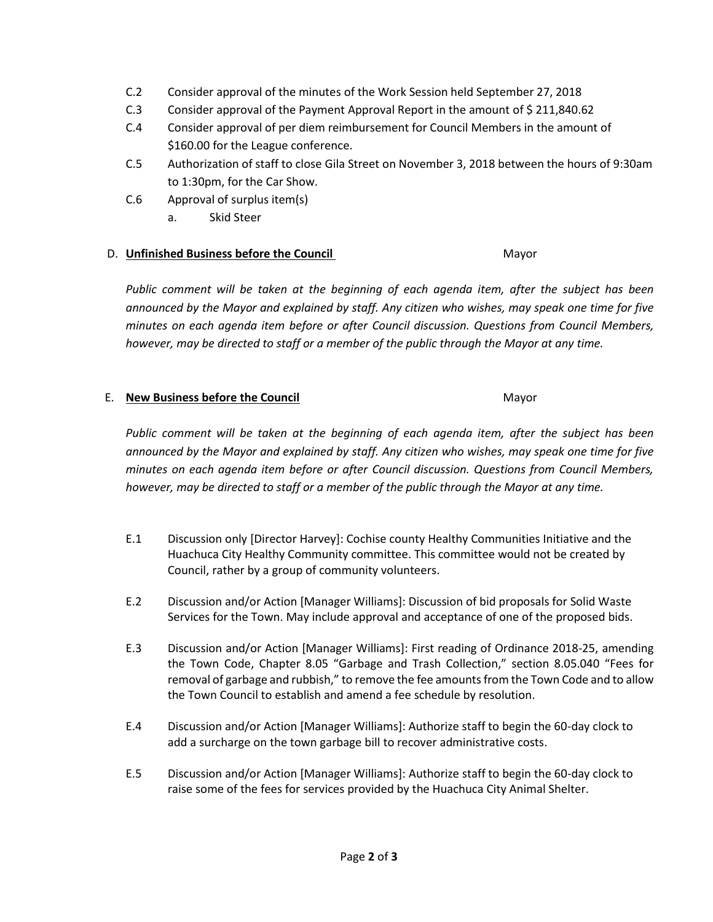- C.2 Consider approval of the minutes of the Work Session held September 27, 2018
- C.3 Consider approval of the Payment Approval Report in the amount of \$ 211,840.62
- C.4 Consider approval of per diem reimbursement for Council Members in the amount of \$160.00 for the League conference.
- C.5 Authorization of staff to close Gila Street on November 3, 2018 between the hours of 9:30am to 1:30pm, for the Car Show.
- C.6 Approval of surplus item(s)
	- a. Skid Steer

## D. **Unfinished Business before the Council** Mayor

*Public comment will be taken at the beginning of each agenda item, after the subject has been announced by the Mayor and explained by staff. Any citizen who wishes, may speak one time for five minutes on each agenda item before or after Council discussion. Questions from Council Members, however, may be directed to staff or a member of the public through the Mayor at any time.*

### E. **New Business before the Council** Mayor

*Public comment will be taken at the beginning of each agenda item, after the subject has been announced by the Mayor and explained by staff. Any citizen who wishes, may speak one time for five minutes on each agenda item before or after Council discussion. Questions from Council Members, however, may be directed to staff or a member of the public through the Mayor at any time.*

- E.1 Discussion only [Director Harvey]: Cochise county Healthy Communities Initiative and the Huachuca City Healthy Community committee. This committee would not be created by Council, rather by a group of community volunteers.
- E.2 Discussion and/or Action [Manager Williams]: Discussion of bid proposals for Solid Waste Services for the Town. May include approval and acceptance of one of the proposed bids.
- E.3 Discussion and/or Action [Manager Williams]: First reading of Ordinance 2018-25, amending the Town Code, Chapter 8.05 "Garbage and Trash Collection," section 8.05.040 "Fees for removal of garbage and rubbish," to remove the fee amounts from the Town Code and to allow the Town Council to establish and amend a fee schedule by resolution.
- E.4 Discussion and/or Action [Manager Williams]: Authorize staff to begin the 60-day clock to add a surcharge on the town garbage bill to recover administrative costs.
- E.5 Discussion and/or Action [Manager Williams]: Authorize staff to begin the 60-day clock to raise some of the fees for services provided by the Huachuca City Animal Shelter.